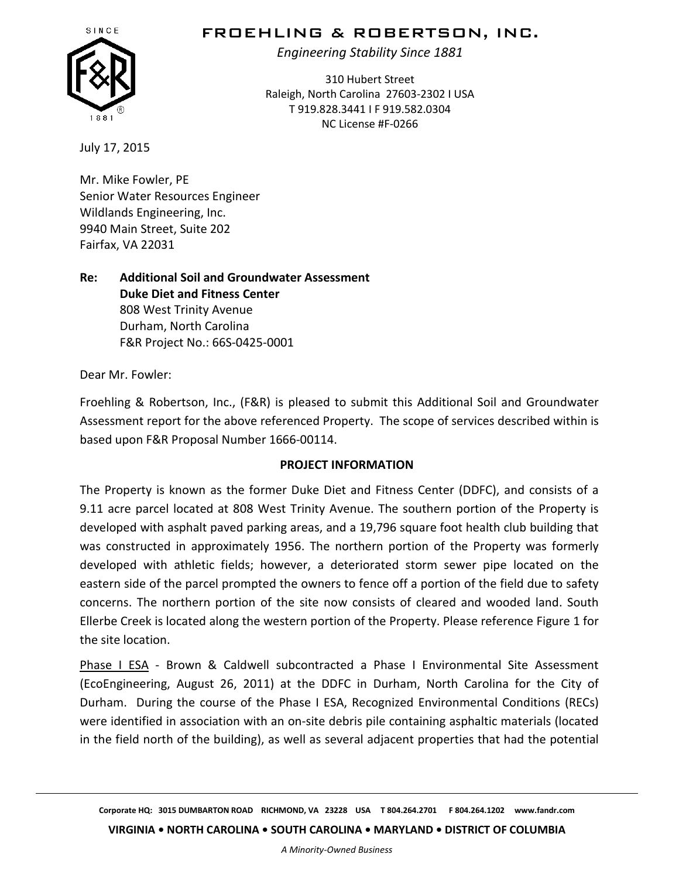

# FROEHLING & ROBERTSON, INC.

*Engineering Stability Since 1881*

310 Hubert Street Raleigh, North Carolina 27603-2302 I USA T 919.828.3441 I F 919.582.0304 NC License #F-0266

July 17, 2015

Mr. Mike Fowler, PE Senior Water Resources Engineer Wildlands Engineering, Inc. 9940 Main Street, Suite 202 Fairfax, VA 22031

**Re: Additional Soil and Groundwater Assessment Duke Diet and Fitness Center** 808 West Trinity Avenue Durham, North Carolina F&R Project No.: 66S-0425-0001

Dear Mr. Fowler:

Froehling & Robertson, Inc., (F&R) is pleased to submit this Additional Soil and Groundwater Assessment report for the above referenced Property. The scope of services described within is based upon F&R Proposal Number 1666-00114.

#### **PROJECT INFORMATION**

The Property is known as the former Duke Diet and Fitness Center (DDFC), and consists of a 9.11 acre parcel located at 808 West Trinity Avenue. The southern portion of the Property is developed with asphalt paved parking areas, and a 19,796 square foot health club building that was constructed in approximately 1956. The northern portion of the Property was formerly developed with athletic fields; however, a deteriorated storm sewer pipe located on the eastern side of the parcel prompted the owners to fence off a portion of the field due to safety concerns. The northern portion of the site now consists of cleared and wooded land. South Ellerbe Creek is located along the western portion of the Property. Please reference Figure 1 for the site location.

Phase I ESA - Brown & Caldwell subcontracted a Phase I Environmental Site Assessment (EcoEngineering, August 26, 2011) at the DDFC in Durham, North Carolina for the City of Durham. During the course of the Phase I ESA, Recognized Environmental Conditions (RECs) were identified in association with an on-site debris pile containing asphaltic materials (located in the field north of the building), as well as several adjacent properties that had the potential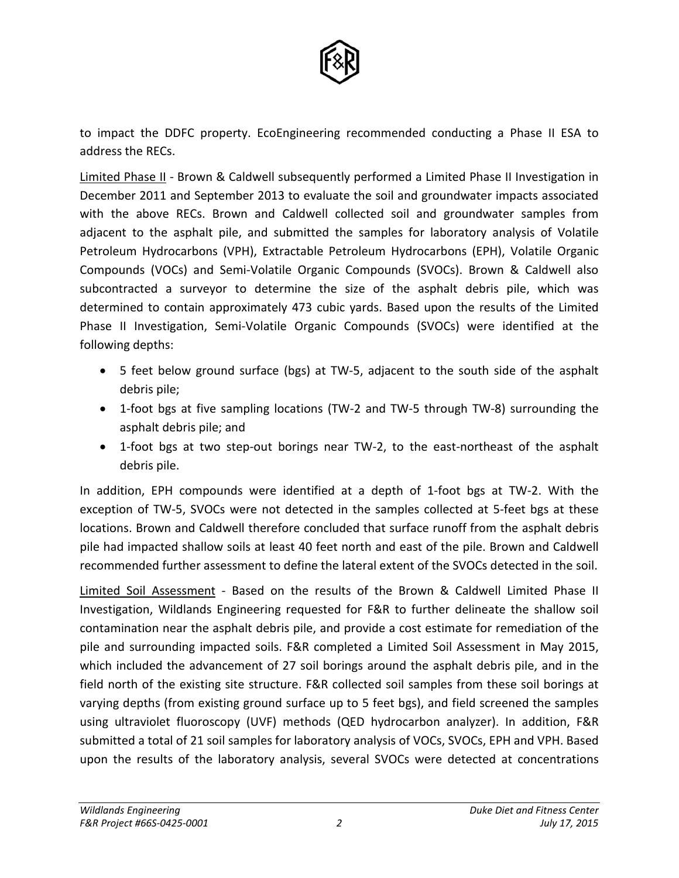

to impact the DDFC property. EcoEngineering recommended conducting a Phase II ESA to address the RECs.

Limited Phase II - Brown & Caldwell subsequently performed a Limited Phase II Investigation in December 2011 and September 2013 to evaluate the soil and groundwater impacts associated with the above RECs. Brown and Caldwell collected soil and groundwater samples from adjacent to the asphalt pile, and submitted the samples for laboratory analysis of Volatile Petroleum Hydrocarbons (VPH), Extractable Petroleum Hydrocarbons (EPH), Volatile Organic Compounds (VOCs) and Semi-Volatile Organic Compounds (SVOCs). Brown & Caldwell also subcontracted a surveyor to determine the size of the asphalt debris pile, which was determined to contain approximately 473 cubic yards. Based upon the results of the Limited Phase II Investigation, Semi-Volatile Organic Compounds (SVOCs) were identified at the following depths:

- 5 feet below ground surface (bgs) at TW-5, adjacent to the south side of the asphalt debris pile;
- 1-foot bgs at five sampling locations (TW-2 and TW-5 through TW-8) surrounding the asphalt debris pile; and
- 1-foot bgs at two step-out borings near TW-2, to the east-northeast of the asphalt debris pile.

In addition, EPH compounds were identified at a depth of 1-foot bgs at TW-2. With the exception of TW-5, SVOCs were not detected in the samples collected at 5-feet bgs at these locations. Brown and Caldwell therefore concluded that surface runoff from the asphalt debris pile had impacted shallow soils at least 40 feet north and east of the pile. Brown and Caldwell recommended further assessment to define the lateral extent of the SVOCs detected in the soil.

Limited Soil Assessment - Based on the results of the Brown & Caldwell Limited Phase II Investigation, Wildlands Engineering requested for F&R to further delineate the shallow soil contamination near the asphalt debris pile, and provide a cost estimate for remediation of the pile and surrounding impacted soils. F&R completed a Limited Soil Assessment in May 2015, which included the advancement of 27 soil borings around the asphalt debris pile, and in the field north of the existing site structure. F&R collected soil samples from these soil borings at varying depths (from existing ground surface up to 5 feet bgs), and field screened the samples using ultraviolet fluoroscopy (UVF) methods (QED hydrocarbon analyzer). In addition, F&R submitted a total of 21 soil samples for laboratory analysis of VOCs, SVOCs, EPH and VPH. Based upon the results of the laboratory analysis, several SVOCs were detected at concentrations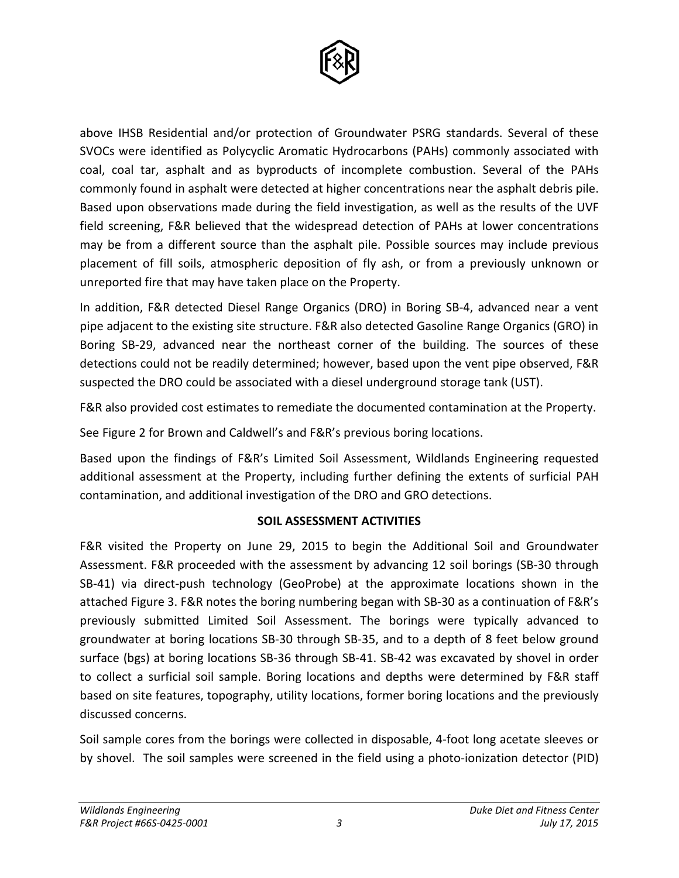

above IHSB Residential and/or protection of Groundwater PSRG standards. Several of these SVOCs were identified as Polycyclic Aromatic Hydrocarbons (PAHs) commonly associated with coal, coal tar, asphalt and as byproducts of incomplete combustion. Several of the PAHs commonly found in asphalt were detected at higher concentrations near the asphalt debris pile. Based upon observations made during the field investigation, as well as the results of the UVF field screening, F&R believed that the widespread detection of PAHs at lower concentrations may be from a different source than the asphalt pile. Possible sources may include previous placement of fill soils, atmospheric deposition of fly ash, or from a previously unknown or unreported fire that may have taken place on the Property.

In addition, F&R detected Diesel Range Organics (DRO) in Boring SB-4, advanced near a vent pipe adjacent to the existing site structure. F&R also detected Gasoline Range Organics (GRO) in Boring SB-29, advanced near the northeast corner of the building. The sources of these detections could not be readily determined; however, based upon the vent pipe observed, F&R suspected the DRO could be associated with a diesel underground storage tank (UST).

F&R also provided cost estimates to remediate the documented contamination at the Property.

See Figure 2 for Brown and Caldwell's and F&R's previous boring locations.

Based upon the findings of F&R's Limited Soil Assessment, Wildlands Engineering requested additional assessment at the Property, including further defining the extents of surficial PAH contamination, and additional investigation of the DRO and GRO detections.

# **SOIL ASSESSMENT ACTIVITIES**

F&R visited the Property on June 29, 2015 to begin the Additional Soil and Groundwater Assessment. F&R proceeded with the assessment by advancing 12 soil borings (SB-30 through SB-41) via direct-push technology (GeoProbe) at the approximate locations shown in the attached Figure 3. F&R notes the boring numbering began with SB-30 as a continuation of F&R's previously submitted Limited Soil Assessment. The borings were typically advanced to groundwater at boring locations SB-30 through SB-35, and to a depth of 8 feet below ground surface (bgs) at boring locations SB-36 through SB-41. SB-42 was excavated by shovel in order to collect a surficial soil sample. Boring locations and depths were determined by F&R staff based on site features, topography, utility locations, former boring locations and the previously discussed concerns.

Soil sample cores from the borings were collected in disposable, 4-foot long acetate sleeves or by shovel. The soil samples were screened in the field using a photo-ionization detector (PID)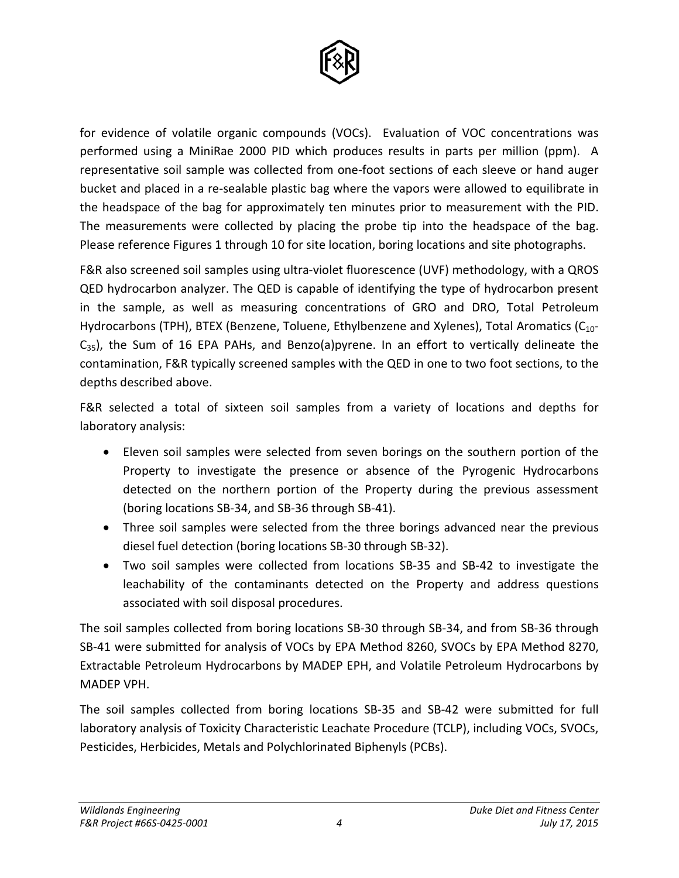

for evidence of volatile organic compounds (VOCs). Evaluation of VOC concentrations was performed using a MiniRae 2000 PID which produces results in parts per million (ppm). A representative soil sample was collected from one-foot sections of each sleeve or hand auger bucket and placed in a re-sealable plastic bag where the vapors were allowed to equilibrate in the headspace of the bag for approximately ten minutes prior to measurement with the PID. The measurements were collected by placing the probe tip into the headspace of the bag. Please reference Figures 1 through 10 for site location, boring locations and site photographs.

F&R also screened soil samples using ultra-violet fluorescence (UVF) methodology, with a QROS QED hydrocarbon analyzer. The QED is capable of identifying the type of hydrocarbon present in the sample, as well as measuring concentrations of GRO and DRO, Total Petroleum Hydrocarbons (TPH), BTEX (Benzene, Toluene, Ethylbenzene and Xylenes), Total Aromatics ( $C_{10}$ - $C_{35}$ ), the Sum of 16 EPA PAHs, and Benzo(a)pyrene. In an effort to vertically delineate the contamination, F&R typically screened samples with the QED in one to two foot sections, to the depths described above.

F&R selected a total of sixteen soil samples from a variety of locations and depths for laboratory analysis:

- Eleven soil samples were selected from seven borings on the southern portion of the Property to investigate the presence or absence of the Pyrogenic Hydrocarbons detected on the northern portion of the Property during the previous assessment (boring locations SB-34, and SB-36 through SB-41).
- Three soil samples were selected from the three borings advanced near the previous diesel fuel detection (boring locations SB-30 through SB-32).
- Two soil samples were collected from locations SB-35 and SB-42 to investigate the leachability of the contaminants detected on the Property and address questions associated with soil disposal procedures.

The soil samples collected from boring locations SB-30 through SB-34, and from SB-36 through SB-41 were submitted for analysis of VOCs by EPA Method 8260, SVOCs by EPA Method 8270, Extractable Petroleum Hydrocarbons by MADEP EPH, and Volatile Petroleum Hydrocarbons by MADEP VPH.

The soil samples collected from boring locations SB-35 and SB-42 were submitted for full laboratory analysis of Toxicity Characteristic Leachate Procedure (TCLP), including VOCs, SVOCs, Pesticides, Herbicides, Metals and Polychlorinated Biphenyls (PCBs).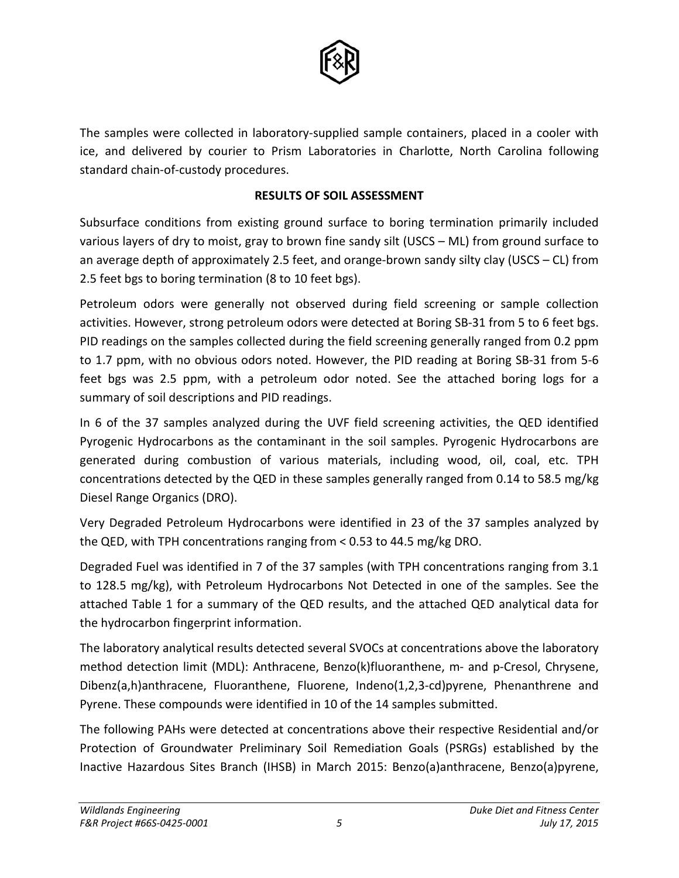

The samples were collected in laboratory-supplied sample containers, placed in a cooler with ice, and delivered by courier to Prism Laboratories in Charlotte, North Carolina following standard chain-of-custody procedures.

# **RESULTS OF SOIL ASSESSMENT**

Subsurface conditions from existing ground surface to boring termination primarily included various layers of dry to moist, gray to brown fine sandy silt (USCS – ML) from ground surface to an average depth of approximately 2.5 feet, and orange-brown sandy silty clay (USCS – CL) from 2.5 feet bgs to boring termination (8 to 10 feet bgs).

Petroleum odors were generally not observed during field screening or sample collection activities. However, strong petroleum odors were detected at Boring SB-31 from 5 to 6 feet bgs. PID readings on the samples collected during the field screening generally ranged from 0.2 ppm to 1.7 ppm, with no obvious odors noted. However, the PID reading at Boring SB-31 from 5-6 feet bgs was 2.5 ppm, with a petroleum odor noted. See the attached boring logs for a summary of soil descriptions and PID readings.

In 6 of the 37 samples analyzed during the UVF field screening activities, the QED identified Pyrogenic Hydrocarbons as the contaminant in the soil samples. Pyrogenic Hydrocarbons are generated during combustion of various materials, including wood, oil, coal, etc. TPH concentrations detected by the QED in these samples generally ranged from 0.14 to 58.5 mg/kg Diesel Range Organics (DRO).

Very Degraded Petroleum Hydrocarbons were identified in 23 of the 37 samples analyzed by the QED, with TPH concentrations ranging from < 0.53 to 44.5 mg/kg DRO.

Degraded Fuel was identified in 7 of the 37 samples (with TPH concentrations ranging from 3.1 to 128.5 mg/kg), with Petroleum Hydrocarbons Not Detected in one of the samples. See the attached Table 1 for a summary of the QED results, and the attached QED analytical data for the hydrocarbon fingerprint information.

The laboratory analytical results detected several SVOCs at concentrations above the laboratory method detection limit (MDL): Anthracene, Benzo(k)fluoranthene, m- and p-Cresol, Chrysene, Dibenz(a,h)anthracene, Fluoranthene, Fluorene, Indeno(1,2,3-cd)pyrene, Phenanthrene and Pyrene. These compounds were identified in 10 of the 14 samples submitted.

The following PAHs were detected at concentrations above their respective Residential and/or Protection of Groundwater Preliminary Soil Remediation Goals (PSRGs) established by the Inactive Hazardous Sites Branch (IHSB) in March 2015: Benzo(a)anthracene, Benzo(a)pyrene,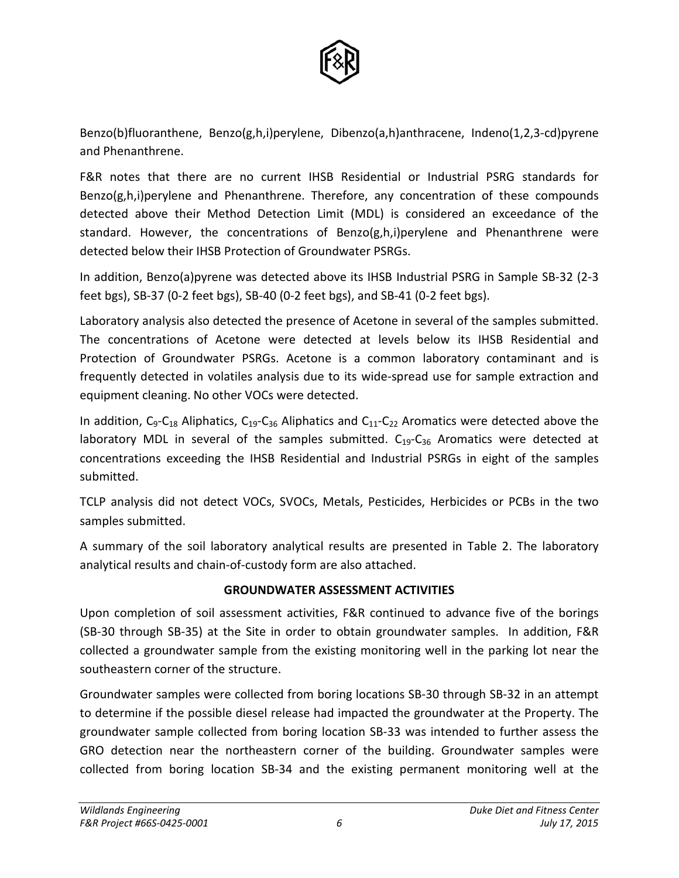

Benzo(b)fluoranthene, Benzo(g,h,i)perylene, Dibenzo(a,h)anthracene, Indeno(1,2,3-cd)pyrene and Phenanthrene.

F&R notes that there are no current IHSB Residential or Industrial PSRG standards for  $Benzo(g,h,i)$  perylene and Phenanthrene. Therefore, any concentration of these compounds detected above their Method Detection Limit (MDL) is considered an exceedance of the standard. However, the concentrations of Benzo( $g,h,i$ ) perylene and Phenanthrene were detected below their IHSB Protection of Groundwater PSRGs.

In addition, Benzo(a)pyrene was detected above its IHSB Industrial PSRG in Sample SB-32 (2-3 feet bgs), SB-37 (0-2 feet bgs), SB-40 (0-2 feet bgs), and SB-41 (0-2 feet bgs).

Laboratory analysis also detected the presence of Acetone in several of the samples submitted. The concentrations of Acetone were detected at levels below its IHSB Residential and Protection of Groundwater PSRGs. Acetone is a common laboratory contaminant and is frequently detected in volatiles analysis due to its wide-spread use for sample extraction and equipment cleaning. No other VOCs were detected.

In addition,  $C_9 - C_{18}$  Aliphatics,  $C_{19} - C_{36}$  Aliphatics and  $C_{11} - C_{22}$  Aromatics were detected above the laboratory MDL in several of the samples submitted.  $C_{19}-C_{36}$  Aromatics were detected at concentrations exceeding the IHSB Residential and Industrial PSRGs in eight of the samples submitted.

TCLP analysis did not detect VOCs, SVOCs, Metals, Pesticides, Herbicides or PCBs in the two samples submitted.

A summary of the soil laboratory analytical results are presented in Table 2. The laboratory analytical results and chain-of-custody form are also attached.

# **GROUNDWATER ASSESSMENT ACTIVITIES**

Upon completion of soil assessment activities, F&R continued to advance five of the borings (SB-30 through SB-35) at the Site in order to obtain groundwater samples. In addition, F&R collected a groundwater sample from the existing monitoring well in the parking lot near the southeastern corner of the structure.

Groundwater samples were collected from boring locations SB-30 through SB-32 in an attempt to determine if the possible diesel release had impacted the groundwater at the Property. The groundwater sample collected from boring location SB-33 was intended to further assess the GRO detection near the northeastern corner of the building. Groundwater samples were collected from boring location SB-34 and the existing permanent monitoring well at the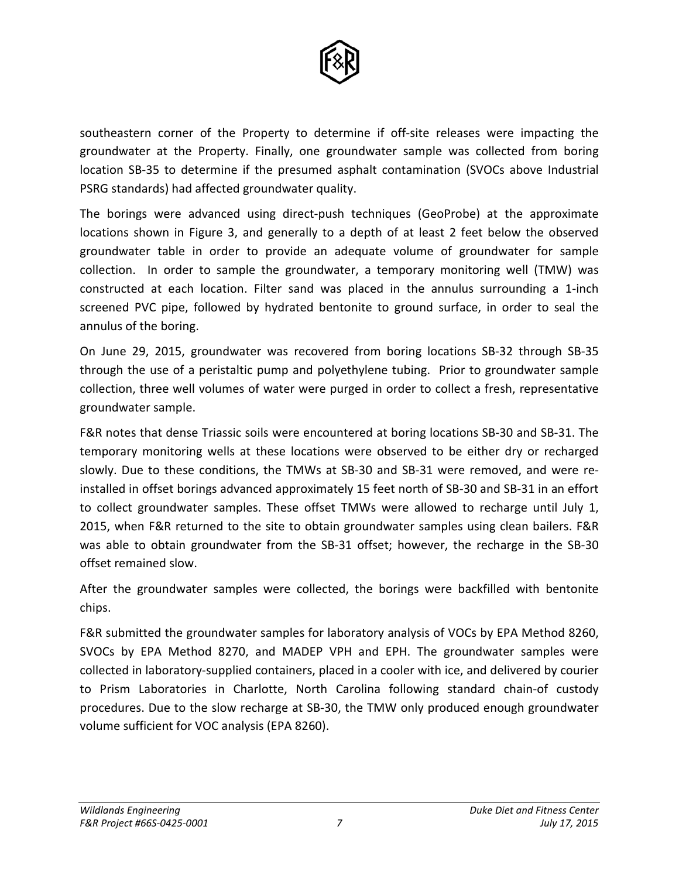

southeastern corner of the Property to determine if off-site releases were impacting the groundwater at the Property. Finally, one groundwater sample was collected from boring location SB-35 to determine if the presumed asphalt contamination (SVOCs above Industrial PSRG standards) had affected groundwater quality.

The borings were advanced using direct-push techniques (GeoProbe) at the approximate locations shown in Figure 3, and generally to a depth of at least 2 feet below the observed groundwater table in order to provide an adequate volume of groundwater for sample collection. In order to sample the groundwater, a temporary monitoring well (TMW) was constructed at each location. Filter sand was placed in the annulus surrounding a 1-inch screened PVC pipe, followed by hydrated bentonite to ground surface, in order to seal the annulus of the boring.

On June 29, 2015, groundwater was recovered from boring locations SB-32 through SB-35 through the use of a peristaltic pump and polyethylene tubing. Prior to groundwater sample collection, three well volumes of water were purged in order to collect a fresh, representative groundwater sample.

F&R notes that dense Triassic soils were encountered at boring locations SB-30 and SB-31. The temporary monitoring wells at these locations were observed to be either dry or recharged slowly. Due to these conditions, the TMWs at SB-30 and SB-31 were removed, and were reinstalled in offset borings advanced approximately 15 feet north of SB-30 and SB-31 in an effort to collect groundwater samples. These offset TMWs were allowed to recharge until July 1, 2015, when F&R returned to the site to obtain groundwater samples using clean bailers. F&R was able to obtain groundwater from the SB-31 offset; however, the recharge in the SB-30 offset remained slow.

After the groundwater samples were collected, the borings were backfilled with bentonite chips.

F&R submitted the groundwater samples for laboratory analysis of VOCs by EPA Method 8260, SVOCs by EPA Method 8270, and MADEP VPH and EPH. The groundwater samples were collected in laboratory-supplied containers, placed in a cooler with ice, and delivered by courier to Prism Laboratories in Charlotte, North Carolina following standard chain-of custody procedures. Due to the slow recharge at SB-30, the TMW only produced enough groundwater volume sufficient for VOC analysis (EPA 8260).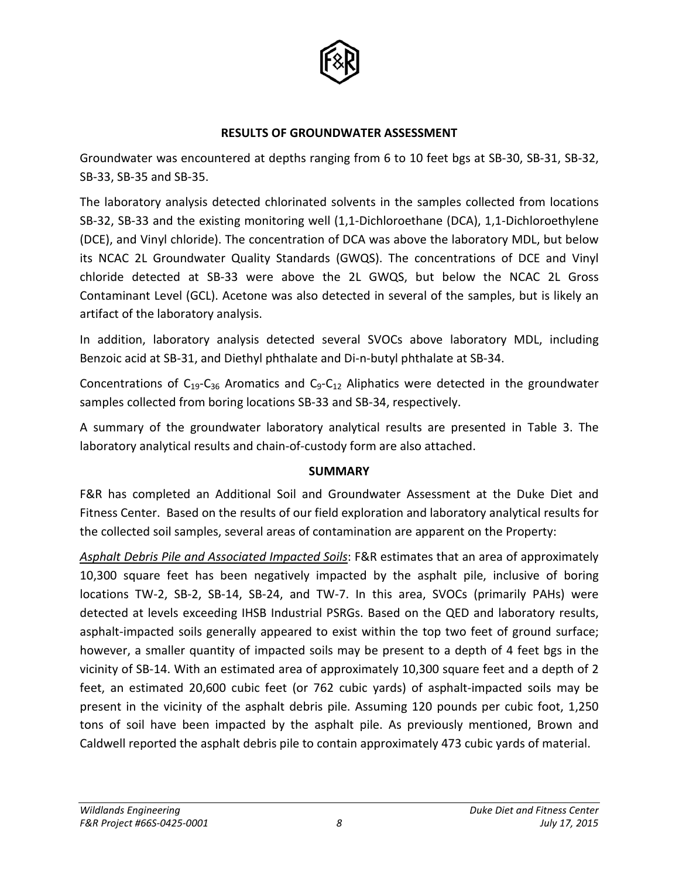

#### **RESULTS OF GROUNDWATER ASSESSMENT**

Groundwater was encountered at depths ranging from 6 to 10 feet bgs at SB-30, SB-31, SB-32, SB-33, SB-35 and SB-35.

The laboratory analysis detected chlorinated solvents in the samples collected from locations SB-32, SB-33 and the existing monitoring well (1,1-Dichloroethane (DCA), 1,1-Dichloroethylene (DCE), and Vinyl chloride). The concentration of DCA was above the laboratory MDL, but below its NCAC 2L Groundwater Quality Standards (GWQS). The concentrations of DCE and Vinyl chloride detected at SB-33 were above the 2L GWQS, but below the NCAC 2L Gross Contaminant Level (GCL). Acetone was also detected in several of the samples, but is likely an artifact of the laboratory analysis.

In addition, laboratory analysis detected several SVOCs above laboratory MDL, including Benzoic acid at SB-31, and Diethyl phthalate and Di-n-butyl phthalate at SB-34.

Concentrations of  $C_{19}-C_{36}$  Aromatics and  $C_{9}-C_{12}$  Aliphatics were detected in the groundwater samples collected from boring locations SB-33 and SB-34, respectively.

A summary of the groundwater laboratory analytical results are presented in Table 3. The laboratory analytical results and chain-of-custody form are also attached.

# **SUMMARY**

F&R has completed an Additional Soil and Groundwater Assessment at the Duke Diet and Fitness Center. Based on the results of our field exploration and laboratory analytical results for the collected soil samples, several areas of contamination are apparent on the Property:

*Asphalt Debris Pile and Associated Impacted Soils*: F&R estimates that an area of approximately 10,300 square feet has been negatively impacted by the asphalt pile, inclusive of boring locations TW-2, SB-2, SB-14, SB-24, and TW-7. In this area, SVOCs (primarily PAHs) were detected at levels exceeding IHSB Industrial PSRGs. Based on the QED and laboratory results, asphalt-impacted soils generally appeared to exist within the top two feet of ground surface; however, a smaller quantity of impacted soils may be present to a depth of 4 feet bgs in the vicinity of SB-14. With an estimated area of approximately 10,300 square feet and a depth of 2 feet, an estimated 20,600 cubic feet (or 762 cubic yards) of asphalt-impacted soils may be present in the vicinity of the asphalt debris pile. Assuming 120 pounds per cubic foot, 1,250 tons of soil have been impacted by the asphalt pile. As previously mentioned, Brown and Caldwell reported the asphalt debris pile to contain approximately 473 cubic yards of material.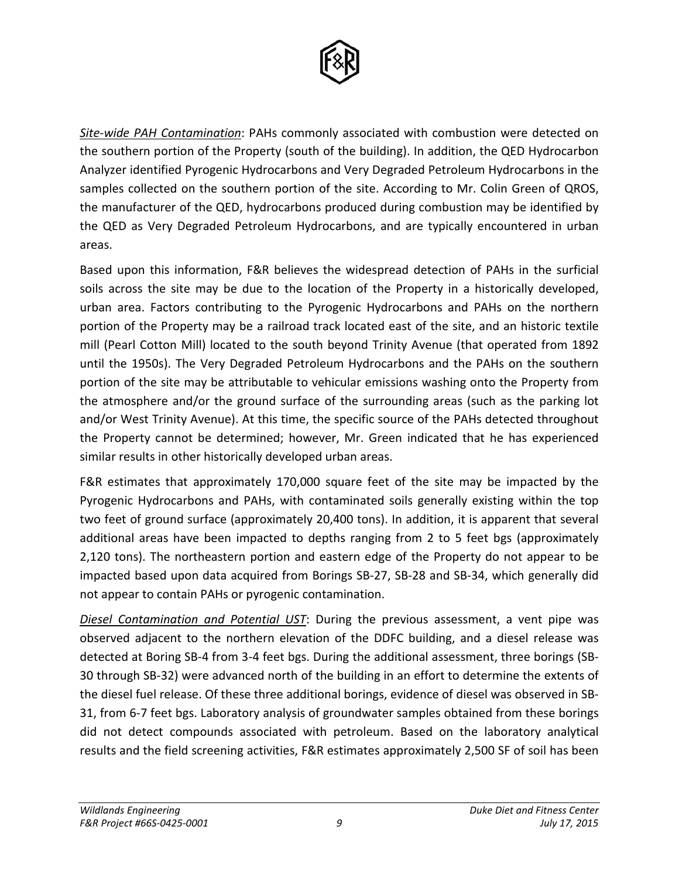

*Site-wide PAH Contamination*: PAHs commonly associated with combustion were detected on the southern portion of the Property (south of the building). In addition, the QED Hydrocarbon Analyzer identified Pyrogenic Hydrocarbons and Very Degraded Petroleum Hydrocarbons in the samples collected on the southern portion of the site. According to Mr. Colin Green of QROS, the manufacturer of the QED, hydrocarbons produced during combustion may be identified by the QED as Very Degraded Petroleum Hydrocarbons, and are typically encountered in urban areas.

Based upon this information, F&R believes the widespread detection of PAHs in the surficial soils across the site may be due to the location of the Property in a historically developed, urban area. Factors contributing to the Pyrogenic Hydrocarbons and PAHs on the northern portion of the Property may be a railroad track located east of the site, and an historic textile mill (Pearl Cotton Mill) located to the south beyond Trinity Avenue (that operated from 1892 until the 1950s). The Very Degraded Petroleum Hydrocarbons and the PAHs on the southern portion of the site may be attributable to vehicular emissions washing onto the Property from the atmosphere and/or the ground surface of the surrounding areas (such as the parking lot and/or West Trinity Avenue). At this time, the specific source of the PAHs detected throughout the Property cannot be determined; however, Mr. Green indicated that he has experienced similar results in other historically developed urban areas.

F&R estimates that approximately 170,000 square feet of the site may be impacted by the Pyrogenic Hydrocarbons and PAHs, with contaminated soils generally existing within the top two feet of ground surface (approximately 20,400 tons). In addition, it is apparent that several additional areas have been impacted to depths ranging from 2 to 5 feet bgs (approximately 2,120 tons). The northeastern portion and eastern edge of the Property do not appear to be impacted based upon data acquired from Borings SB-27, SB-28 and SB-34, which generally did not appear to contain PAHs or pyrogenic contamination.

*Diesel Contamination and Potential UST*: During the previous assessment, a vent pipe was observed adjacent to the northern elevation of the DDFC building, and a diesel release was detected at Boring SB-4 from 3-4 feet bgs. During the additional assessment, three borings (SB-30 through SB-32) were advanced north of the building in an effort to determine the extents of the diesel fuel release. Of these three additional borings, evidence of diesel was observed in SB-31, from 6-7 feet bgs. Laboratory analysis of groundwater samples obtained from these borings did not detect compounds associated with petroleum. Based on the laboratory analytical results and the field screening activities, F&R estimates approximately 2,500 SF of soil has been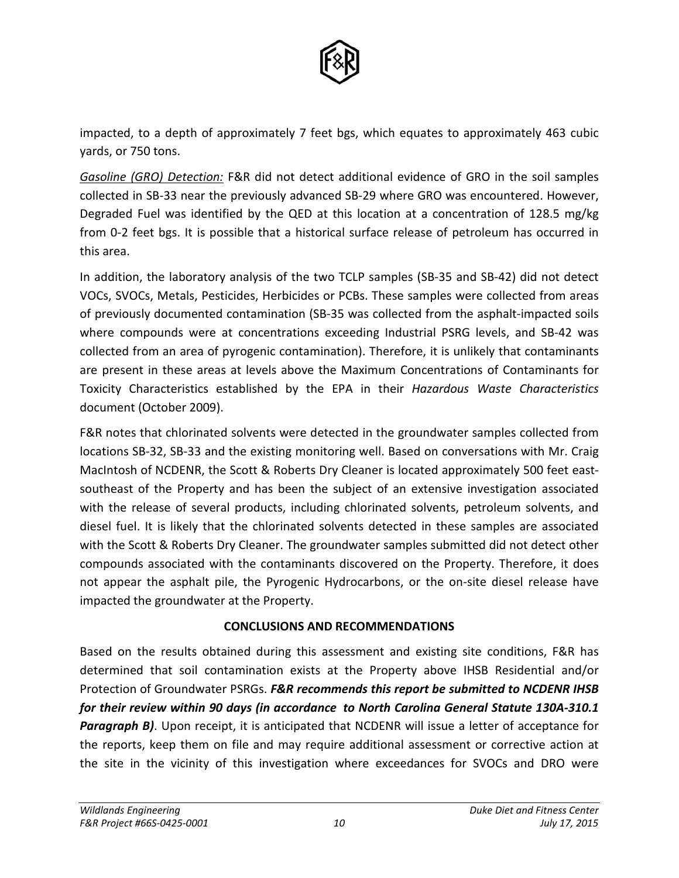

impacted, to a depth of approximately 7 feet bgs, which equates to approximately 463 cubic yards, or 750 tons.

*Gasoline (GRO) Detection:* F&R did not detect additional evidence of GRO in the soil samples collected in SB-33 near the previously advanced SB-29 where GRO was encountered. However, Degraded Fuel was identified by the QED at this location at a concentration of 128.5 mg/kg from 0-2 feet bgs. It is possible that a historical surface release of petroleum has occurred in this area.

In addition, the laboratory analysis of the two TCLP samples (SB-35 and SB-42) did not detect VOCs, SVOCs, Metals, Pesticides, Herbicides or PCBs. These samples were collected from areas of previously documented contamination (SB-35 was collected from the asphalt-impacted soils where compounds were at concentrations exceeding Industrial PSRG levels, and SB-42 was collected from an area of pyrogenic contamination). Therefore, it is unlikely that contaminants are present in these areas at levels above the Maximum Concentrations of Contaminants for Toxicity Characteristics established by the EPA in their *Hazardous Waste Characteristics* document (October 2009).

F&R notes that chlorinated solvents were detected in the groundwater samples collected from locations SB-32, SB-33 and the existing monitoring well. Based on conversations with Mr. Craig MacIntosh of NCDENR, the Scott & Roberts Dry Cleaner is located approximately 500 feet eastsoutheast of the Property and has been the subject of an extensive investigation associated with the release of several products, including chlorinated solvents, petroleum solvents, and diesel fuel. It is likely that the chlorinated solvents detected in these samples are associated with the Scott & Roberts Dry Cleaner. The groundwater samples submitted did not detect other compounds associated with the contaminants discovered on the Property. Therefore, it does not appear the asphalt pile, the Pyrogenic Hydrocarbons, or the on-site diesel release have impacted the groundwater at the Property.

# **CONCLUSIONS AND RECOMMENDATIONS**

Based on the results obtained during this assessment and existing site conditions, F&R has determined that soil contamination exists at the Property above IHSB Residential and/or Protection of Groundwater PSRGs. *F&R recommends this report be submitted to NCDENR IHSB for their review within 90 days (in accordance to North Carolina General Statute 130A-310.1*  **Paragraph B)**. Upon receipt, it is anticipated that NCDENR will issue a letter of acceptance for the reports, keep them on file and may require additional assessment or corrective action at the site in the vicinity of this investigation where exceedances for SVOCs and DRO were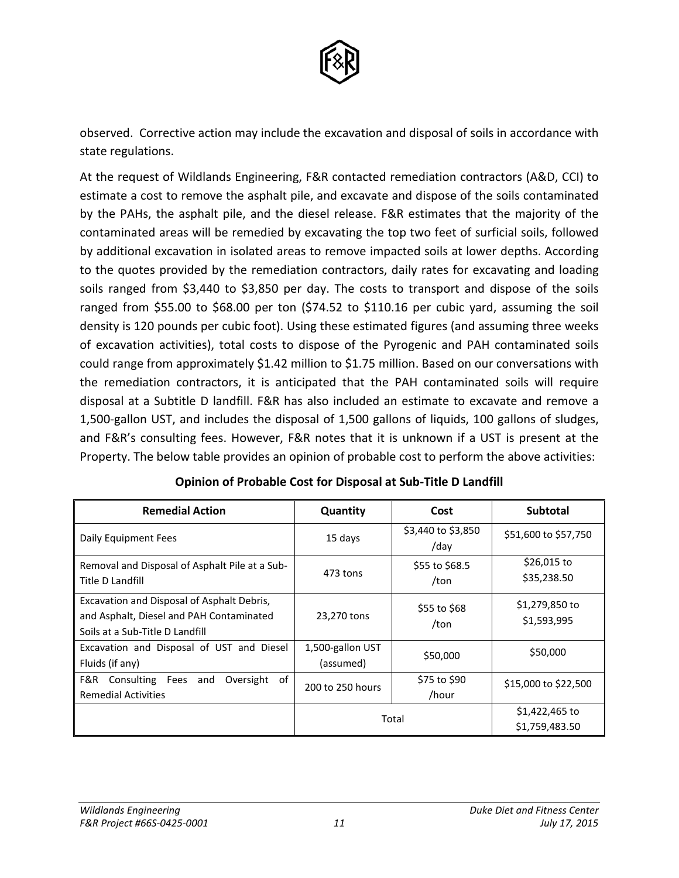

observed. Corrective action may include the excavation and disposal of soils in accordance with state regulations.

At the request of Wildlands Engineering, F&R contacted remediation contractors (A&D, CCI) to estimate a cost to remove the asphalt pile, and excavate and dispose of the soils contaminated by the PAHs, the asphalt pile, and the diesel release. F&R estimates that the majority of the contaminated areas will be remedied by excavating the top two feet of surficial soils, followed by additional excavation in isolated areas to remove impacted soils at lower depths. According to the quotes provided by the remediation contractors, daily rates for excavating and loading soils ranged from \$3,440 to \$3,850 per day. The costs to transport and dispose of the soils ranged from \$55.00 to \$68.00 per ton (\$74.52 to \$110.16 per cubic yard, assuming the soil density is 120 pounds per cubic foot). Using these estimated figures (and assuming three weeks of excavation activities), total costs to dispose of the Pyrogenic and PAH contaminated soils could range from approximately \$1.42 million to \$1.75 million. Based on our conversations with the remediation contractors, it is anticipated that the PAH contaminated soils will require disposal at a Subtitle D landfill. F&R has also included an estimate to excavate and remove a 1,500-gallon UST, and includes the disposal of 1,500 gallons of liquids, 100 gallons of sludges, and F&R's consulting fees. However, F&R notes that it is unknown if a UST is present at the Property. The below table provides an opinion of probable cost to perform the above activities:

| <b>Remedial Action</b>                                                                                                    | Quantity                      | Cost                       | <b>Subtotal</b>                  |
|---------------------------------------------------------------------------------------------------------------------------|-------------------------------|----------------------------|----------------------------------|
| Daily Equipment Fees                                                                                                      | 15 days                       | \$3,440 to \$3,850<br>/day | \$51,600 to \$57,750             |
| Removal and Disposal of Asphalt Pile at a Sub-<br>Title D Landfill                                                        | 473 tons                      | \$55 to \$68.5<br>/ton     | \$26,015 to<br>\$35,238.50       |
| Excavation and Disposal of Asphalt Debris,<br>and Asphalt, Diesel and PAH Contaminated<br>Soils at a Sub-Title D Landfill | 23,270 tons                   | \$55 to \$68<br>/ton       | \$1,279,850 to<br>\$1,593,995    |
| Excavation and Disposal of UST and Diesel<br>Fluids (if any)                                                              | 1,500-gallon UST<br>(assumed) | \$50,000                   | \$50,000                         |
| Consulting Fees<br>Oversight<br>of<br>F&R<br>and<br><b>Remedial Activities</b>                                            | 200 to 250 hours              | \$75 to \$90<br>/hour      | \$15,000 to \$22,500             |
|                                                                                                                           | Total                         |                            | \$1,422,465 to<br>\$1,759,483.50 |

# **Opinion of Probable Cost for Disposal at Sub-Title D Landfill**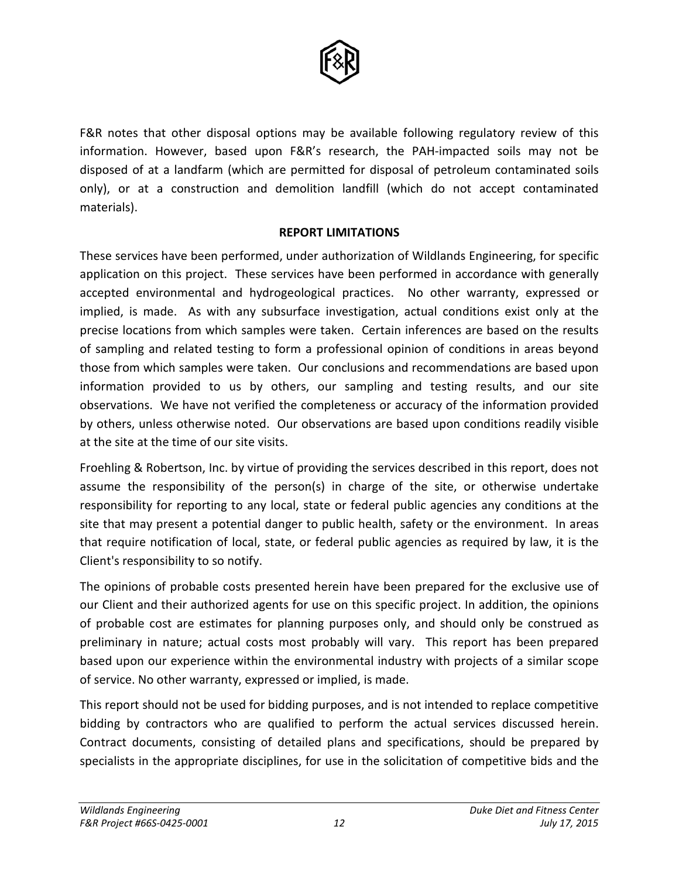

F&R notes that other disposal options may be available following regulatory review of this information. However, based upon F&R's research, the PAH-impacted soils may not be disposed of at a landfarm (which are permitted for disposal of petroleum contaminated soils only), or at a construction and demolition landfill (which do not accept contaminated materials).

#### **REPORT LIMITATIONS**

These services have been performed, under authorization of Wildlands Engineering, for specific application on this project. These services have been performed in accordance with generally accepted environmental and hydrogeological practices. No other warranty, expressed or implied, is made. As with any subsurface investigation, actual conditions exist only at the precise locations from which samples were taken. Certain inferences are based on the results of sampling and related testing to form a professional opinion of conditions in areas beyond those from which samples were taken. Our conclusions and recommendations are based upon information provided to us by others, our sampling and testing results, and our site observations. We have not verified the completeness or accuracy of the information provided by others, unless otherwise noted. Our observations are based upon conditions readily visible at the site at the time of our site visits.

Froehling & Robertson, Inc. by virtue of providing the services described in this report, does not assume the responsibility of the person(s) in charge of the site, or otherwise undertake responsibility for reporting to any local, state or federal public agencies any conditions at the site that may present a potential danger to public health, safety or the environment. In areas that require notification of local, state, or federal public agencies as required by law, it is the Client's responsibility to so notify.

The opinions of probable costs presented herein have been prepared for the exclusive use of our Client and their authorized agents for use on this specific project. In addition, the opinions of probable cost are estimates for planning purposes only, and should only be construed as preliminary in nature; actual costs most probably will vary. This report has been prepared based upon our experience within the environmental industry with projects of a similar scope of service. No other warranty, expressed or implied, is made.

This report should not be used for bidding purposes, and is not intended to replace competitive bidding by contractors who are qualified to perform the actual services discussed herein. Contract documents, consisting of detailed plans and specifications, should be prepared by specialists in the appropriate disciplines, for use in the solicitation of competitive bids and the